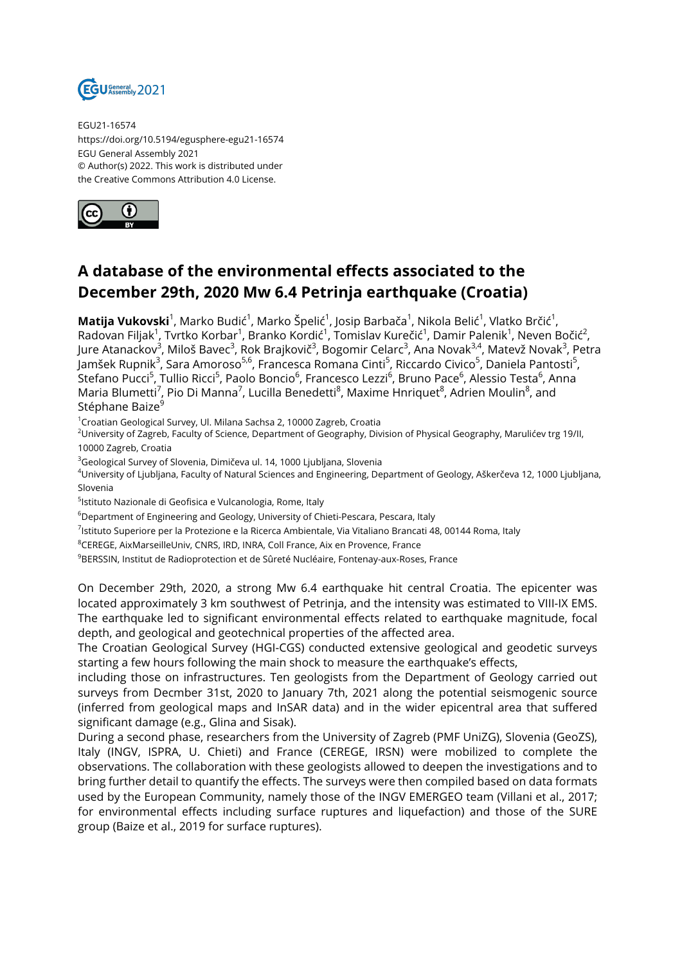

EGU21-16574 https://doi.org/10.5194/egusphere-egu21-16574 EGU General Assembly 2021 © Author(s) 2022. This work is distributed under the Creative Commons Attribution 4.0 License.



## **A database of the environmental effects associated to the December 29th, 2020 Mw 6.4 Petrinja earthquake (Croatia)**

**Matija Vukovski**<sup>1</sup>, Marko Budić<sup>1</sup>, Marko Špelić<sup>1</sup>, Josip Barbača<sup>1</sup>, Nikola Belić<sup>1</sup>, Vlatko Brčić<sup>1</sup>, Radovan Filjak $^1$ , Tvrtko Korbar $^1$ , Branko Kordić $^1$ , Tomislav Kurečić $^1$ , Damir Palenik $^1$ , Neven Bočić $^2$ , Jure Atanackov<sup>3</sup>, Miloš Bavec<sup>3</sup>, Rok Brajkovič<sup>3</sup>, Bogomir Celarc<sup>3</sup>, Ana Novak<sup>3,4</sup>, Matevž Novak<sup>3</sup>, Petra Jamšek Rupnik<sup>3</sup>, Sara Amoroso<sup>5,6</sup>, Francesca Romana Cinti<sup>5</sup>, Riccardo Civico<sup>5</sup>, Daniela Pantosti<sup>5</sup>, Stefano Pucci<sup>5</sup>, Tullio Ricci<sup>5</sup>, Paolo Boncio<sup>6</sup>, Francesco Lezzi<sup>6</sup>, Bruno Pace<sup>6</sup>, Alessio Testa<sup>6</sup>, Anna Maria Blumetti<sup>7</sup>, Pio Di Manna<sup>7</sup>, Lucilla Benedetti<sup>8</sup>, Maxime Hnriquet<sup>8</sup>, Adrien Moulin<sup>8</sup>, and Stéphane Baize<sup>9</sup>

<sup>1</sup>Croatian Geological Survey, Ul. Milana Sachsa 2, 10000 Zagreb, Croatia

<sup>2</sup>University of Zagreb, Faculty of Science, Department of Geography, Division of Physical Geography, Marulićev trg 19/II, 10000 Zagreb, Croatia

<sup>3</sup>Geological Survey of Slovenia, Dimičeva ul. 14, 1000 Ljubljana, Slovenia

<sup>4</sup>University of Ljubljana, Faculty of Natural Sciences and Engineering, Department of Geology, Aškerčeva 12, 1000 Ljubljana, Slovenia

<sup>5</sup>lstituto Nazionale di Geofisica e Vulcanologia, Rome, Italy

<sup>6</sup>Department of Engineering and Geology, University of Chieti-Pescara, Pescara, Italy

<sup>7</sup>lstituto Superiore per la Protezione e la Ricerca Ambientale, Via Vitaliano Brancati 48, 00144 Roma, Italy

<sup>8</sup>CEREGE, AixMarseilleUniv, CNRS, IRD, INRA, Coll France, Aix en Provence, France

 $9BERSSIN$ , Institut de Radioprotection et de Sûreté Nucléaire, Fontenay-aux-Roses, France

On December 29th, 2020, a strong Mw 6.4 earthquake hit central Croatia. The epicenter was located approximately 3 km southwest of Petrinja, and the intensity was estimated to VIII-IX EMS. The earthquake led to significant environmental effects related to earthquake magnitude, focal depth, and geological and geotechnical properties of the affected area.

The Croatian Geological Survey (HGI-CGS) conducted extensive geological and geodetic surveys starting a few hours following the main shock to measure the earthquake's effects,

including those on infrastructures. Ten geologists from the Department of Geology carried out surveys from Decmber 31st, 2020 to January 7th, 2021 along the potential seismogenic source (inferred from geological maps and InSAR data) and in the wider epicentral area that suffered significant damage (e.g., Glina and Sisak).

During a second phase, researchers from the University of Zagreb (PMF UniZG), Slovenia (GeoZS), Italy (INGV, ISPRA, U. Chieti) and France (CEREGE, IRSN) were mobilized to complete the observations. The collaboration with these geologists allowed to deepen the investigations and to bring further detail to quantify the effects. The surveys were then compiled based on data formats used by the European Community, namely those of the INGV EMERGEO team (Villani et al., 2017; for environmental effects including surface ruptures and liquefaction) and those of the SURE group (Baize et al., 2019 for surface ruptures).